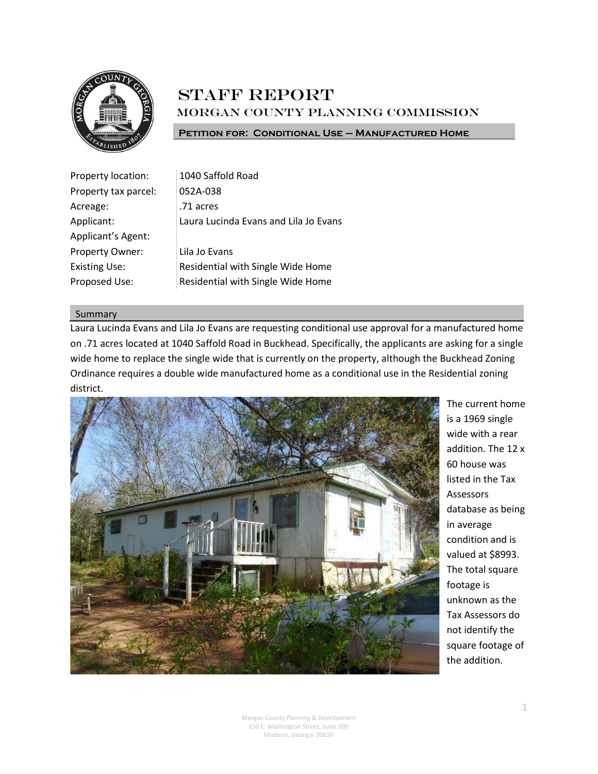

# **STAFF REPORT** Morgan County Planning Commission

**Petition for: Conditional Use – Manufactured Home**

| Property location:   | 1040 Saffold Road                     |
|----------------------|---------------------------------------|
| Property tax parcel: | 052A-038                              |
| Acreage:             | .71 acres                             |
| Applicant:           | Laura Lucinda Evans and Lila Jo Evans |
| Applicant's Agent:   |                                       |
| Property Owner:      | Lila Jo Evans                         |
| <b>Existing Use:</b> | Residential with Single Wide Home     |
| Proposed Use:        | Residential with Single Wide Home     |

# Summary

Laura Lucinda Evans and Lila Jo Evans are requesting conditional use approval for a manufactured home on .71 acres located at 1040 Saffold Road in Buckhead. Specifically, the applicants are asking for a single wide home to replace the single wide that is currently on the property, although the Buckhead Zoning Ordinance requires a double wide manufactured home as a conditional use in the Residential zoning district.



The current home is a 1969 single wide with a rear addition. The 12 x 60 house was listed in the Tax Assessors database as being in average condition and is valued at \$8993. The total square footage is unknown as the Tax Assessors do not identify the square footage of the addition.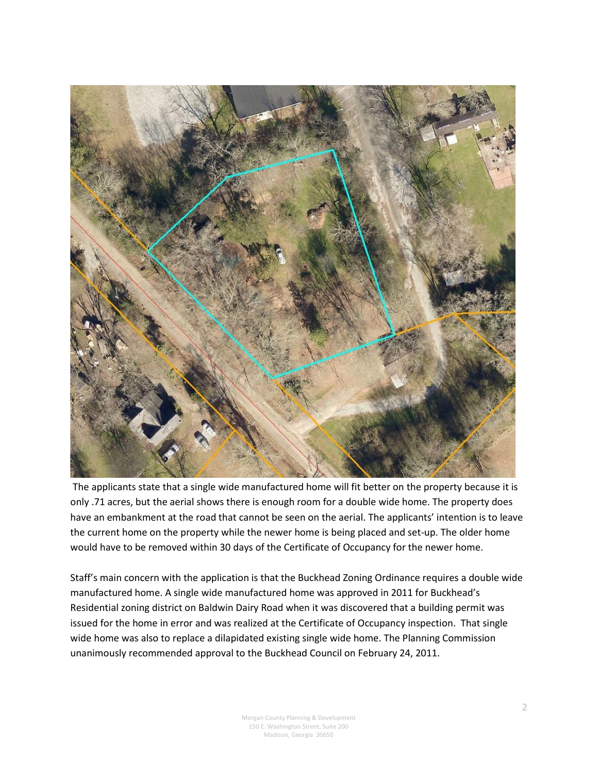

The applicants state that a single wide manufactured home will fit better on the property because it is only .71 acres, but the aerial shows there is enough room for a double wide home. The property does have an embankment at the road that cannot be seen on the aerial. The applicants' intention is to leave the current home on the property while the newer home is being placed and set-up. The older home would have to be removed within 30 days of the Certificate of Occupancy for the newer home.

Staff's main concern with the application is that the Buckhead Zoning Ordinance requires a double wide manufactured home. A single wide manufactured home was approved in 2011 for Buckhead's Residential zoning district on Baldwin Dairy Road when it was discovered that a building permit was issued for the home in error and was realized at the Certificate of Occupancy inspection. That single wide home was also to replace a dilapidated existing single wide home. The Planning Commission unanimously recommended approval to the Buckhead Council on February 24, 2011.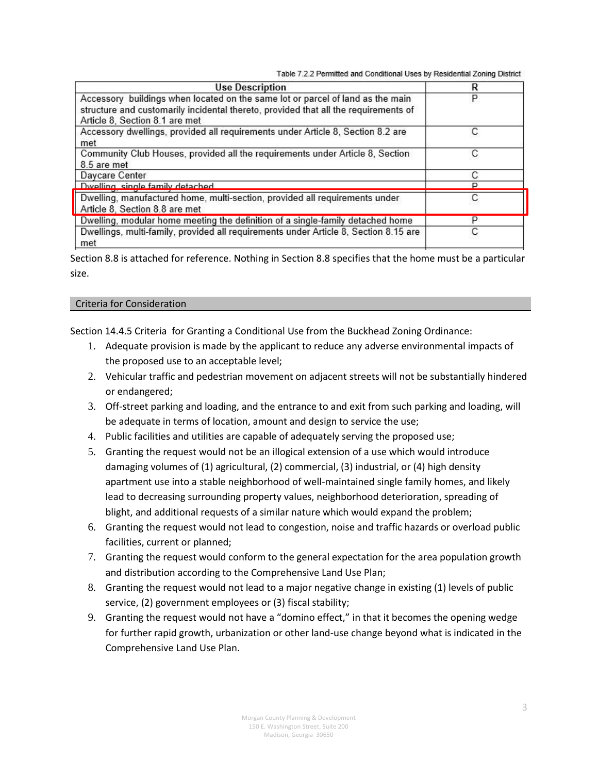Table 7.2.2 Permitted and Conditional Uses by Residential Zoning District

| <b>Use Description</b>                                                                                                                                                                                  | R |
|---------------------------------------------------------------------------------------------------------------------------------------------------------------------------------------------------------|---|
| Accessory buildings when located on the same lot or parcel of land as the main<br>structure and customarily incidental thereto, provided that all the requirements of<br>Article 8, Section 8.1 are met | Ρ |
| Accessory dwellings, provided all requirements under Article 8, Section 8.2 are<br>met                                                                                                                  | С |
| Community Club Houses, provided all the requirements under Article 8, Section<br>8.5 are met                                                                                                            | С |
| Daycare Center                                                                                                                                                                                          | С |
| Dwelling single family detached                                                                                                                                                                         | D |
| Dwelling, manufactured home, multi-section, provided all requirements under<br>Article 8, Section 8.8 are met                                                                                           | С |
| Dwelling, modular home meeting the definition of a single-family detached home                                                                                                                          | P |
| Dwellings, multi-family, provided all requirements under Article 8, Section 8.15 are<br>met                                                                                                             | С |

Section 8.8 is attached for reference. Nothing in Section 8.8 specifies that the home must be a particular size.

# Criteria for Consideration

Section 14.4.5 Criteria for Granting a Conditional Use from the Buckhead Zoning Ordinance:

- 1. Adequate provision is made by the applicant to reduce any adverse environmental impacts of the proposed use to an acceptable level;
- 2. Vehicular traffic and pedestrian movement on adjacent streets will not be substantially hindered or endangered;
- 3. Off-street parking and loading, and the entrance to and exit from such parking and loading, will be adequate in terms of location, amount and design to service the use;
- 4. Public facilities and utilities are capable of adequately serving the proposed use;
- 5. Granting the request would not be an illogical extension of a use which would introduce damaging volumes of (1) agricultural, (2) commercial, (3) industrial, or (4) high density apartment use into a stable neighborhood of well-maintained single family homes, and likely lead to decreasing surrounding property values, neighborhood deterioration, spreading of blight, and additional requests of a similar nature which would expand the problem;
- 6. Granting the request would not lead to congestion, noise and traffic hazards or overload public facilities, current or planned;
- 7. Granting the request would conform to the general expectation for the area population growth and distribution according to the Comprehensive Land Use Plan;
- 8. Granting the request would not lead to a major negative change in existing (1) levels of public service, (2) government employees or (3) fiscal stability;
- 9. Granting the request would not have a "domino effect," in that it becomes the opening wedge for further rapid growth, urbanization or other land-use change beyond what is indicated in the Comprehensive Land Use Plan.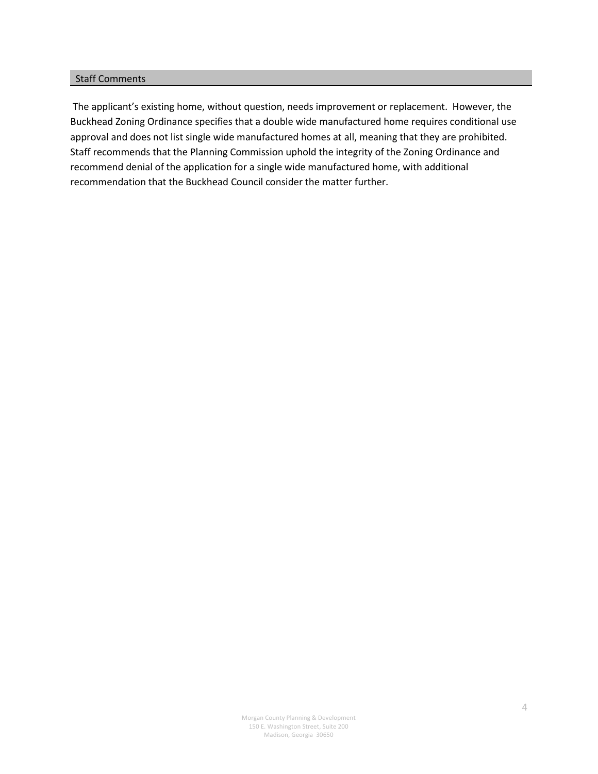# Staff Comments

The applicant's existing home, without question, needs improvement or replacement. However, the Buckhead Zoning Ordinance specifies that a double wide manufactured home requires conditional use approval and does not list single wide manufactured homes at all, meaning that they are prohibited. Staff recommends that the Planning Commission uphold the integrity of the Zoning Ordinance and recommend denial of the application for a single wide manufactured home, with additional recommendation that the Buckhead Council consider the matter further.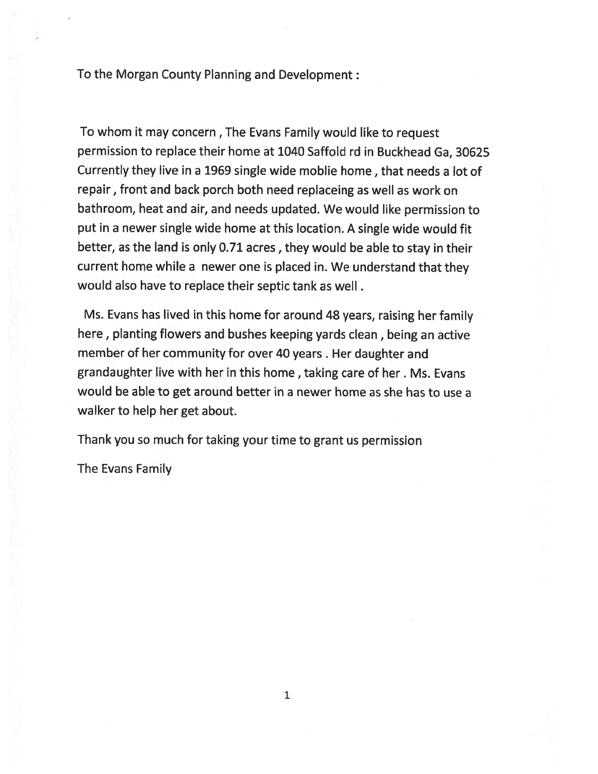To the Morgan County Planning and Development :

To whom it may concern, The Evans Family would like to request permission to replace their home at 1040 Saffold rd in Buckhead Ga, 30625 Currently they live in a 1969 single wide moblie home, that needs a lot of repair, front and back porch both need replaceing as well as work on bathroom, heat and air, and needs updated. We would like permission to put in a newer single wide home at this location. A single wide would fit better, as the land is only 0.71 acres, they would be able to stay in their current home while a newer one is placed in. We understand that they would also have to replace their septic tank as well.

Ms. Evans has lived in this home for around 48 years, raising her family here, planting flowers and bushes keeping yards clean, being an active member of her community for over 40 years. Her daughter and grandaughter live with her in this home, taking care of her. Ms. Evans would be able to get around better in a newer home as she has to use a walker to help her get about.

Thank you so much for taking your time to grant us permission

The Evans Family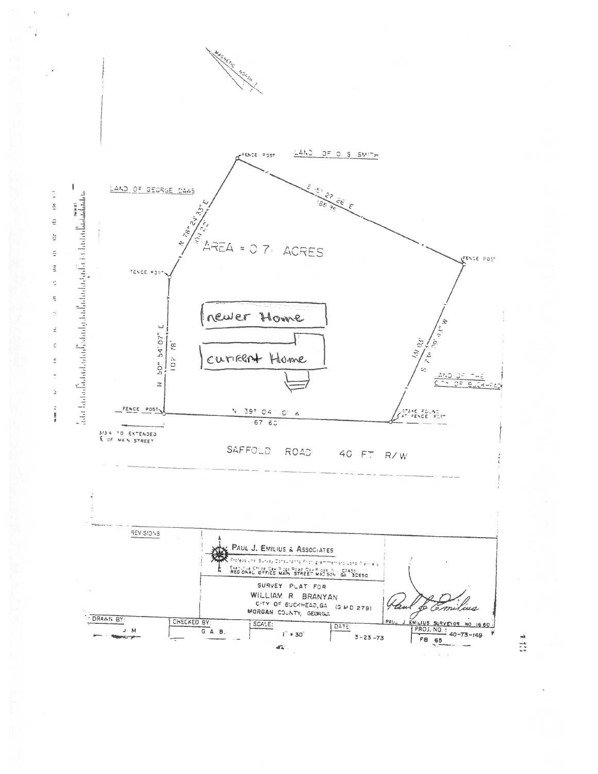

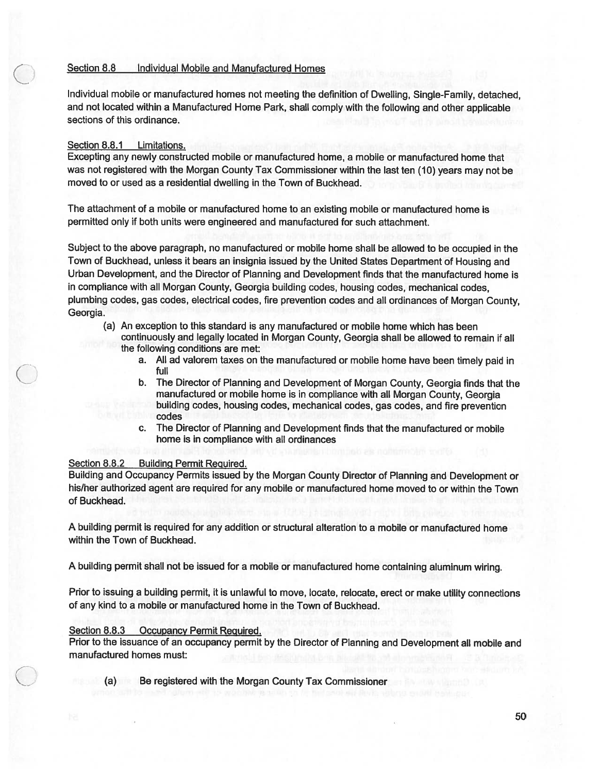#### Section 8.8 Individual Mobile and Manufactured Homes

Individual mobile or manufactured homes not meeting the definition of Dwelling, Single-Family, detached, and not located within a Manufactured Home Park, shall comply with the following and other applicable sections of this ordinance.

### Section 8.8.1 Limitations.

Excepting any newly constructed mobile or manufactured home, a mobile or manufactured home that was not registered with the Morgan County Tax Commissioner within the last ten (10) years may not be moved to or used as a residential dwelling in the Town of Buckhead.

The attachment of a mobile or manufactured home to an existing mobile or manufactured home is permitted only if both units were engineered and manufactured for such attachment.

Subject to the above paragraph, no manufactured or mobile home shall be allowed to be occupied in the Town of Buckhead, unless it bears an insignia issued by the United States Department of Housing and Urban Development, and the Director of Planning and Development finds that the manufactured home is in compliance with all Morgan County, Georgia building codes, housing codes, mechanical codes, plumbing codes, gas codes, electrical codes, fire prevention codes and all ordinances of Morgan County, Georgia.

- (a) An exception to this standard is any manufactured or mobile home which has been continuously and legally located in Morgan County, Georgia shall be allowed to remain if all the following conditions are met:
	- a. All ad valorem taxes on the manufactured or mobile home have been timely paid in full
	- The Director of Planning and Development of Morgan County, Georgia finds that the b. manufactured or mobile home is in compliance with all Morgan County. Georgia building codes, housing codes, mechanical codes, gas codes, and fire prevention codes
	- c. The Director of Planning and Development finds that the manufactured or mobile home is in compliance with all ordinances

#### Section 8.8.2 **Building Permit Required.**

Building and Occupancy Permits issued by the Morgan County Director of Planning and Development or his/her authorized agent are required for any mobile or manufactured home moved to or within the Town of Buckhead.

A building permit is required for any addition or structural alteration to a mobile or manufactured home within the Town of Buckhead.

A building permit shall not be issued for a mobile or manufactured home containing aluminum wiring.

Prior to issuing a building permit, it is unlawful to move, locate, relocate, erect or make utility connections of any kind to a mobile or manufactured home in the Town of Buckhead.

# Section 8.8.3 Occupancy Permit Required.

Prior to the issuance of an occupancy permit by the Director of Planning and Development all mobile and manufactured homes must:

Be registered with the Morgan County Tax Commissioner  $(a)$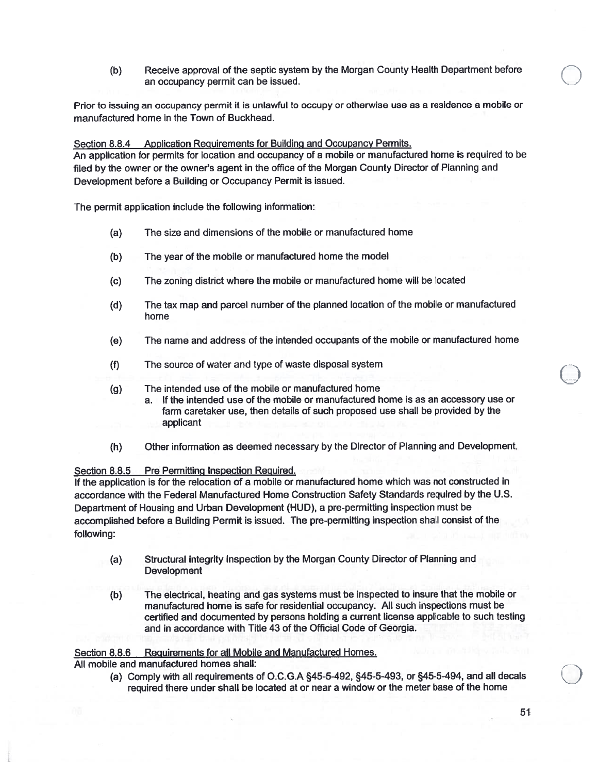Receive approval of the septic system by the Morgan County Health Department before  $(b)$ an occupancy permit can be issued.

Prior to issuing an occupancy permit it is unlawful to occupy or otherwise use as a residence a mobile or manufactured home in the Town of Buckhead.

Section 8.8.4 Application Requirements for Building and Occupancy Permits. An application for permits for location and occupancy of a mobile or manufactured home is required to be filed by the owner or the owner's agent in the office of the Morgan County Director of Planning and Development before a Building or Occupancy Permit is issued.

The permit application include the following information:

- The size and dimensions of the mobile or manufactured home  $(a)$
- $(b)$ The year of the mobile or manufactured home the model
- The zoning district where the mobile or manufactured home will be located  $(c)$
- $(d)$ The tax map and parcel number of the planned location of the mobile or manufactured home
- $(e)$ The name and address of the intended occupants of the mobile or manufactured home
- $(f)$ The source of water and type of waste disposal system
- The intended use of the mobile or manufactured home  $(q)$ 
	- a. If the intended use of the mobile or manufactured home is as an accessory use or farm caretaker use, then details of such proposed use shall be provided by the applicant
- $(h)$ Other information as deemed necessary by the Director of Planning and Development.

### Section 8.8.5 Pre Permitting Inspection Required.

If the application is for the relocation of a mobile or manufactured home which was not constructed in accordance with the Federal Manufactured Home Construction Safety Standards required by the U.S. Department of Housing and Urban Development (HUD), a pre-permitting inspection must be accomplished before a Building Permit is issued. The pre-permitting inspection shall consist of the following:

- Structural integrity inspection by the Morgan County Director of Planning and  $(a)$ **Development**
- The electrical, heating and gas systems must be inspected to insure that the mobile or  $(b)$ manufactured home is safe for residential occupancy. All such inspections must be certified and documented by persons holding a current license applicable to such testing and in accordance with Title 43 of the Official Code of Georgia.

#### Requirements for all Mobile and Manufactured Homes. Section 8.8.6

All mobile and manufactured homes shall:

(a) Comply with all requirements of O.C.G.A §45-5-492, §45-5-493, or §45-5-494, and all decals required there under shall be located at or near a window or the meter base of the home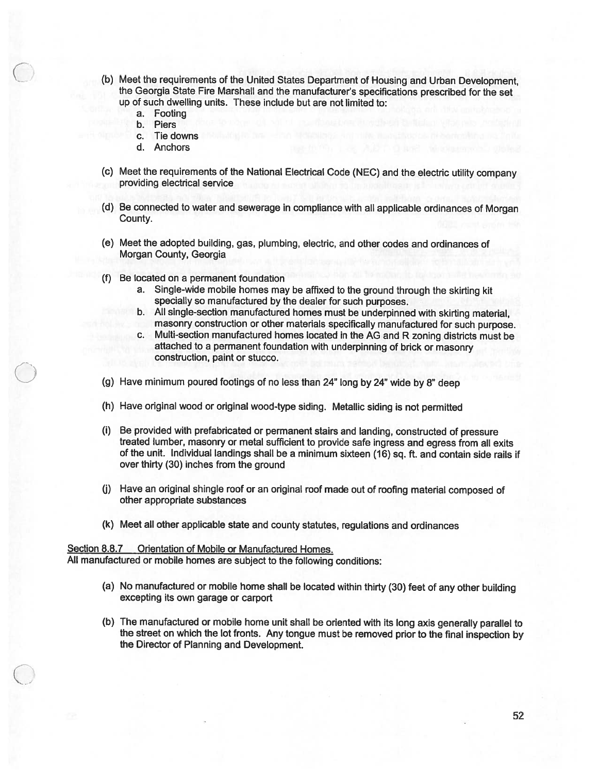- (b) Meet the requirements of the United States Department of Housing and Urban Development, the Georgia State Fire Marshall and the manufacturer's specifications prescribed for the set up of such dwelling units. These include but are not limited to:
	- a. Footing
	- b. Piers
	- c. Tie downs
	- d. Anchors
- (c) Meet the requirements of the National Electrical Code (NEC) and the electric utility company providing electrical service
- (d) Be connected to water and sewerage in compliance with all applicable ordinances of Morgan County.
- (e) Meet the adopted building, gas, plumbing, electric, and other codes and ordinances of Morgan County, Georgia
- (f) Be located on a permanent foundation
	- a. Single-wide mobile homes may be affixed to the ground through the skirting kit specially so manufactured by the dealer for such purposes.
	- b. All single-section manufactured homes must be underpinned with skirting material. masonry construction or other materials specifically manufactured for such purpose.
	- c. Multi-section manufactured homes located in the AG and R zoning districts must be attached to a permanent foundation with underpinning of brick or masonry construction, paint or stucco.
- (g) Have minimum poured footings of no less than 24" long by 24" wide by 8" deep
- (h) Have original wood or original wood-type siding. Metallic siding is not permitted
- (i) Be provided with prefabricated or permanent stairs and landing, constructed of pressure treated lumber, masonry or metal sufficient to provide safe ingress and egress from all exits of the unit. Individual landings shall be a minimum sixteen (16) sq. ft. and contain side rails if over thirty (30) inches from the ground
- (j) Have an original shingle roof or an original roof made out of roofing material composed of other appropriate substances
- (k) Meet all other applicable state and county statutes, regulations and ordinances

#### Section 8.8.7 Orientation of Mobile or Manufactured Homes.

All manufactured or mobile homes are subject to the following conditions:

- (a) No manufactured or mobile home shall be located within thirty (30) feet of any other building excepting its own garage or carport
- (b) The manufactured or mobile home unit shall be oriented with its long axis generally parallel to the street on which the lot fronts. Any tongue must be removed prior to the final inspection by the Director of Planning and Development.